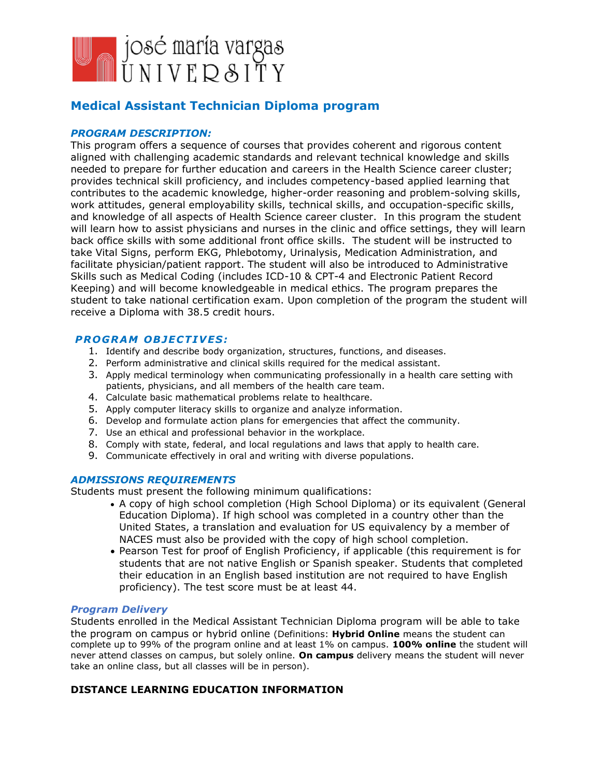

# **Medical Assistant Technician Diploma program**

## *PROGRAM DESCRIPTION:*

This program offers a sequence of courses that provides coherent and rigorous content aligned with challenging academic standards and relevant technical knowledge and skills needed to prepare for further education and careers in the Health Science career cluster; provides technical skill proficiency, and includes competency-based applied learning that contributes to the academic knowledge, higher-order reasoning and problem-solving skills, work attitudes, general employability skills, technical skills, and occupation-specific skills, and knowledge of all aspects of Health Science career cluster. In this program the student will learn how to assist physicians and nurses in the clinic and office settings, they will learn back office skills with some additional front office skills. The student will be instructed to take Vital Signs, perform EKG, Phlebotomy, Urinalysis, Medication Administration, and facilitate physician/patient rapport. The student will also be introduced to Administrative Skills such as Medical Coding (includes ICD-10 & CPT-4 and Electronic Patient Record Keeping) and will become knowledgeable in medical ethics. The program prepares the student to take national certification exam. Upon completion of the program the student will receive a Diploma with 38.5 credit hours.

## **PROGRAM OBJECTIVES:**

- 1. Identify and describe body organization, structures, functions, and diseases.
- 2. Perform administrative and clinical skills required for the medical assistant.
- 3. Apply medical terminology when communicating professionally in a health care setting with patients, physicians, and all members of the health care team.
- 4. Calculate basic mathematical problems relate to healthcare.
- 5. Apply computer literacy skills to organize and analyze information.
- 6. Develop and formulate action plans for emergencies that affect the community.
- 7. Use an ethical and professional behavior in the workplace.
- 8. Comply with state, federal, and local regulations and laws that apply to health care.
- 9. Communicate effectively in oral and writing with diverse populations.

## *ADMISSIONS REQUIREMENTS*

Students must present the following minimum qualifications:

- A copy of high school completion (High School Diploma) or its equivalent (General Education Diploma). If high school was completed in a country other than the United States, a translation and evaluation for US equivalency by a member of NACES must also be provided with the copy of high school completion.
- Pearson Test for proof of English Proficiency, if applicable (this requirement is for students that are not native English or Spanish speaker. Students that completed their education in an English based institution are not required to have English proficiency). The test score must be at least 44.

## *Program Delivery*

Students enrolled in the Medical Assistant Technician Diploma program will be able to take the program on campus or hybrid online (Definitions: **Hybrid Online** means the student can complete up to 99% of the program online and at least 1% on campus. **100% online** the student will never attend classes on campus, but solely online. **On campus** delivery means the student will never take an online class, but all classes will be in person).

## **DISTANCE LEARNING EDUCATION INFORMATION**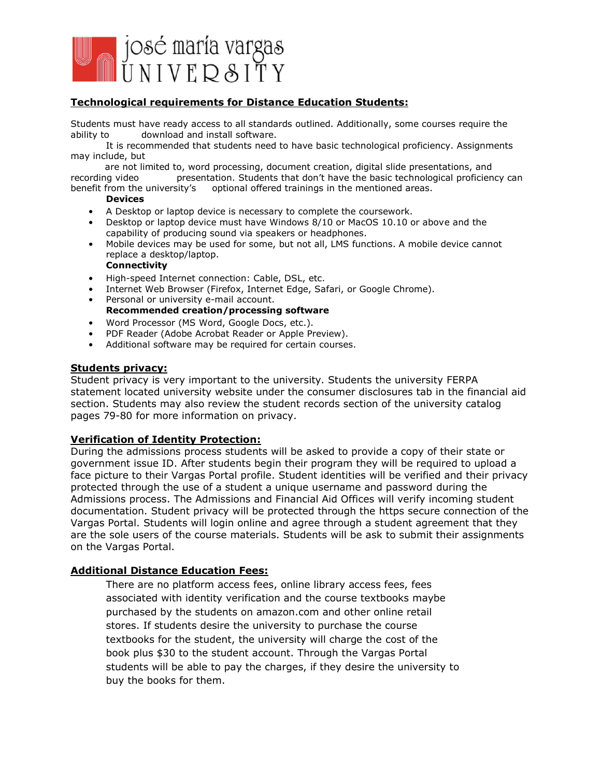

## **Technological requirements for Distance Education Students:**

Students must have ready access to all standards outlined. Additionally, some courses require the ability to download and install software.

It is recommended that students need to have basic technological proficiency. Assignments may include, but

 are not limited to, word processing, document creation, digital slide presentations, and recording video presentation. Students that don't have the basic technological proficiency can benefit from the university's optional offered trainings in the mentioned areas.

#### **Devices**

- A Desktop or laptop device is necessary to complete the coursework.
- Desktop or laptop device must have Windows 8/10 or MacOS 10.10 or above and the capability of producing sound via speakers or headphones.
- Mobile devices may be used for some, but not all, LMS functions. A mobile device cannot replace a desktop/laptop.

## **Connectivity**

- High-speed Internet connection: Cable, DSL, etc.
- Internet Web Browser (Firefox, Internet Edge, Safari, or Google Chrome).
- Personal or university e-mail account. **Recommended creation/processing software**
- Word Processor (MS Word, Google Docs, etc.).
- PDF Reader (Adobe Acrobat Reader or Apple Preview).
- Additional software may be required for certain courses.

#### **Students privacy:**

Student privacy is very important to the university. Students the university FERPA statement located university website under the consumer disclosures tab in the financial aid section. Students may also review the student records section of the university catalog pages 79-80 for more information on privacy.

## **Verification of Identity Protection:**

During the admissions process students will be asked to provide a copy of their state or government issue ID. After students begin their program they will be required to upload a face picture to their Vargas Portal profile. Student identities will be verified and their privacy protected through the use of a student a unique username and password during the Admissions process. The Admissions and Financial Aid Offices will verify incoming student documentation. Student privacy will be protected through the https secure connection of the Vargas Portal. Students will login online and agree through a student agreement that they are the sole users of the course materials. Students will be ask to submit their assignments on the Vargas Portal.

## **Additional Distance Education Fees:**

There are no platform access fees, online library access fees, fees associated with identity verification and the course textbooks maybe purchased by the students on amazon.com and other online retail stores. If students desire the university to purchase the course textbooks for the student, the university will charge the cost of the book plus \$30 to the student account. Through the Vargas Portal students will be able to pay the charges, if they desire the university to buy the books for them.